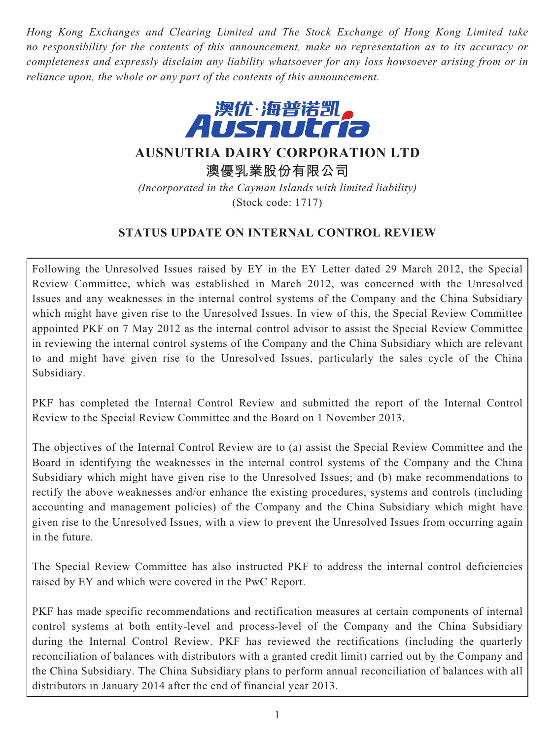*Hong Kong Exchanges and Clearing Limited and The Stock Exchange of Hong Kong Limited take no responsibility for the contents of this announcement, make no representation as to its accuracy or completeness and expressly disclaim any liability whatsoever for any loss howsoever arising from or in reliance upon, the whole or any part of the contents of this announcement.*



# **AUSNUTRIA DAIRY CORPORATION LTD**

**澳優乳業股份有限公司**

*(Incorporated in the Cayman Islands with limited liability)* (Stock code: 1717)

## **STATUS UPDATE ON INTERNAL CONTROL REVIEW**

Following the Unresolved Issues raised by EY in the EY Letter dated 29 March 2012, the Special Review Committee, which was established in March 2012, was concerned with the Unresolved Issues and any weaknesses in the internal control systems of the Company and the China Subsidiary which might have given rise to the Unresolved Issues. In view of this, the Special Review Committee appointed PKF on 7 May 2012 as the internal control advisor to assist the Special Review Committee in reviewing the internal control systems of the Company and the China Subsidiary which are relevant to and might have given rise to the Unresolved Issues, particularly the sales cycle of the China Subsidiary.

PKF has completed the Internal Control Review and submitted the report of the Internal Control Review to the Special Review Committee and the Board on 1 November 2013.

The objectives of the Internal Control Review are to (a) assist the Special Review Committee and the Board in identifying the weaknesses in the internal control systems of the Company and the China Subsidiary which might have given rise to the Unresolved Issues; and (b) make recommendations to rectify the above weaknesses and/or enhance the existing procedures, systems and controls (including accounting and management policies) of the Company and the China Subsidiary which might have given rise to the Unresolved Issues, with a view to prevent the Unresolved Issues from occurring again in the future.

The Special Review Committee has also instructed PKF to address the internal control deficiencies raised by EY and which were covered in the PwC Report.

PKF has made specific recommendations and rectification measures at certain components of internal control systems at both entity-level and process-level of the Company and the China Subsidiary during the Internal Control Review. PKF has reviewed the rectifications (including the quarterly reconciliation of balances with distributors with a granted credit limit) carried out by the Company and the China Subsidiary. The China Subsidiary plans to perform annual reconciliation of balances with all distributors in January 2014 after the end of financial year 2013.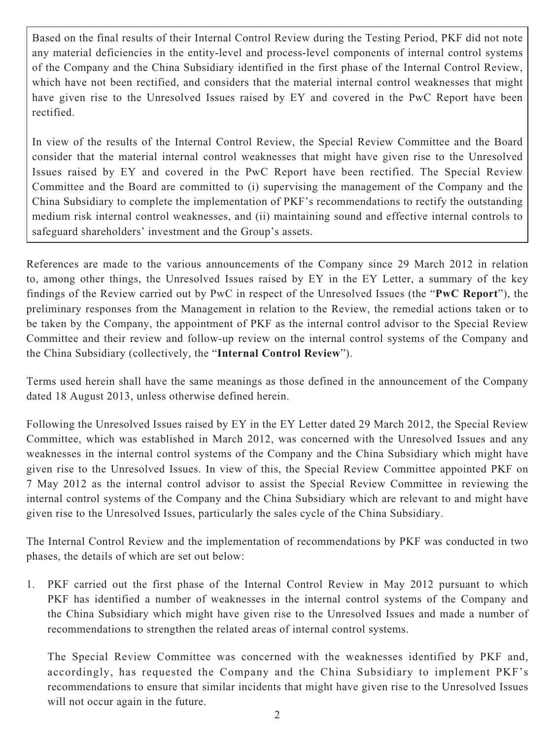Based on the final results of their Internal Control Review during the Testing Period, PKF did not note any material deficiencies in the entity-level and process-level components of internal control systems of the Company and the China Subsidiary identified in the first phase of the Internal Control Review, which have not been rectified, and considers that the material internal control weaknesses that might have given rise to the Unresolved Issues raised by EY and covered in the PwC Report have been rectified.

In view of the results of the Internal Control Review, the Special Review Committee and the Board consider that the material internal control weaknesses that might have given rise to the Unresolved Issues raised by EY and covered in the PwC Report have been rectified. The Special Review Committee and the Board are committed to (i) supervising the management of the Company and the China Subsidiary to complete the implementation of PKF's recommendations to rectify the outstanding medium risk internal control weaknesses, and (ii) maintaining sound and effective internal controls to safeguard shareholders' investment and the Group's assets.

References are made to the various announcements of the Company since 29 March 2012 in relation to, among other things, the Unresolved Issues raised by EY in the EY Letter, a summary of the key findings of the Review carried out by PwC in respect of the Unresolved Issues (the "**PwC Report**"), the preliminary responses from the Management in relation to the Review, the remedial actions taken or to be taken by the Company, the appointment of PKF as the internal control advisor to the Special Review Committee and their review and follow-up review on the internal control systems of the Company and the China Subsidiary (collectively, the "**Internal Control Review**").

Terms used herein shall have the same meanings as those defined in the announcement of the Company dated 18 August 2013, unless otherwise defined herein.

Following the Unresolved Issues raised by EY in the EY Letter dated 29 March 2012, the Special Review Committee, which was established in March 2012, was concerned with the Unresolved Issues and any weaknesses in the internal control systems of the Company and the China Subsidiary which might have given rise to the Unresolved Issues. In view of this, the Special Review Committee appointed PKF on 7 May 2012 as the internal control advisor to assist the Special Review Committee in reviewing the internal control systems of the Company and the China Subsidiary which are relevant to and might have given rise to the Unresolved Issues, particularly the sales cycle of the China Subsidiary.

The Internal Control Review and the implementation of recommendations by PKF was conducted in two phases, the details of which are set out below:

1. PKF carried out the first phase of the Internal Control Review in May 2012 pursuant to which PKF has identified a number of weaknesses in the internal control systems of the Company and the China Subsidiary which might have given rise to the Unresolved Issues and made a number of recommendations to strengthen the related areas of internal control systems.

 The Special Review Committee was concerned with the weaknesses identified by PKF and, accordingly, has requested the Company and the China Subsidiary to implement PKF's recommendations to ensure that similar incidents that might have given rise to the Unresolved Issues will not occur again in the future.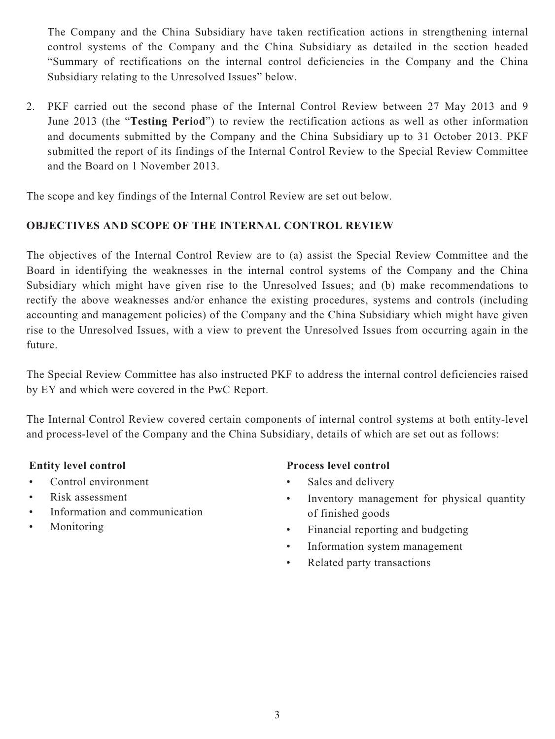The Company and the China Subsidiary have taken rectification actions in strengthening internal control systems of the Company and the China Subsidiary as detailed in the section headed "Summary of rectifications on the internal control deficiencies in the Company and the China Subsidiary relating to the Unresolved Issues" below.

2. PKF carried out the second phase of the Internal Control Review between 27 May 2013 and 9 June 2013 (the "**Testing Period**") to review the rectification actions as well as other information and documents submitted by the Company and the China Subsidiary up to 31 October 2013. PKF submitted the report of its findings of the Internal Control Review to the Special Review Committee and the Board on 1 November 2013.

The scope and key findings of the Internal Control Review are set out below.

## **OBJECTIVES AND SCOPE OF THE INTERNAL CONTROL REVIEW**

The objectives of the Internal Control Review are to (a) assist the Special Review Committee and the Board in identifying the weaknesses in the internal control systems of the Company and the China Subsidiary which might have given rise to the Unresolved Issues; and (b) make recommendations to rectify the above weaknesses and/or enhance the existing procedures, systems and controls (including accounting and management policies) of the Company and the China Subsidiary which might have given rise to the Unresolved Issues, with a view to prevent the Unresolved Issues from occurring again in the future.

The Special Review Committee has also instructed PKF to address the internal control deficiencies raised by EY and which were covered in the PwC Report.

The Internal Control Review covered certain components of internal control systems at both entity-level and process-level of the Company and the China Subsidiary, details of which are set out as follows:

- Control environment
- Risk assessment
- Information and communication
- Monitoring

## **Entity level control Process level control**

- Sales and delivery
- Inventory management for physical quantity of finished goods
- Financial reporting and budgeting
- Information system management
- Related party transactions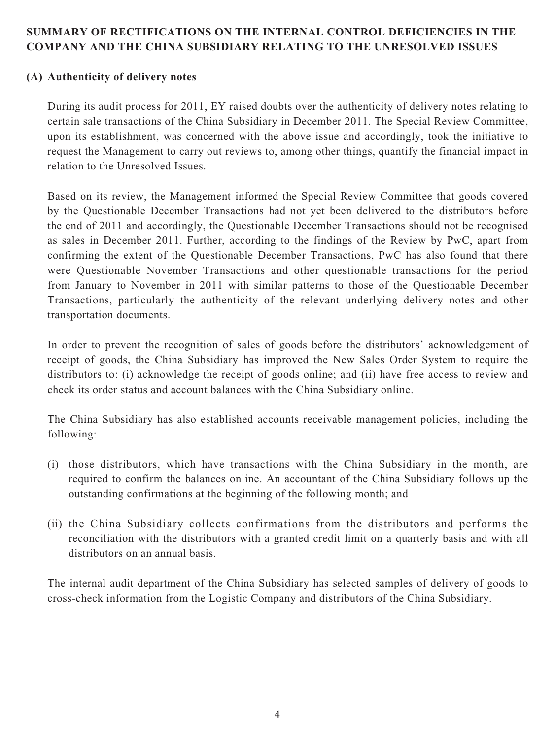### **SUMMARY OF RECTIFICATIONS ON THE INTERNAL CONTROL DEFICIENCIES IN THE COMPANY AND THE CHINA SUBSIDIARY RELATING TO THE UNRESOLVED ISSUES**

#### **(A) Authenticity of delivery notes**

During its audit process for 2011, EY raised doubts over the authenticity of delivery notes relating to certain sale transactions of the China Subsidiary in December 2011. The Special Review Committee, upon its establishment, was concerned with the above issue and accordingly, took the initiative to request the Management to carry out reviews to, among other things, quantify the financial impact in relation to the Unresolved Issues.

Based on its review, the Management informed the Special Review Committee that goods covered by the Questionable December Transactions had not yet been delivered to the distributors before the end of 2011 and accordingly, the Questionable December Transactions should not be recognised as sales in December 2011. Further, according to the findings of the Review by PwC, apart from confirming the extent of the Questionable December Transactions, PwC has also found that there were Questionable November Transactions and other questionable transactions for the period from January to November in 2011 with similar patterns to those of the Questionable December Transactions, particularly the authenticity of the relevant underlying delivery notes and other transportation documents.

In order to prevent the recognition of sales of goods before the distributors' acknowledgement of receipt of goods, the China Subsidiary has improved the New Sales Order System to require the distributors to: (i) acknowledge the receipt of goods online; and (ii) have free access to review and check its order status and account balances with the China Subsidiary online.

The China Subsidiary has also established accounts receivable management policies, including the following:

- (i) those distributors, which have transactions with the China Subsidiary in the month, are required to confirm the balances online. An accountant of the China Subsidiary follows up the outstanding confirmations at the beginning of the following month; and
- (ii) the China Subsidiary collects confirmations from the distributors and performs the reconciliation with the distributors with a granted credit limit on a quarterly basis and with all distributors on an annual basis.

The internal audit department of the China Subsidiary has selected samples of delivery of goods to cross-check information from the Logistic Company and distributors of the China Subsidiary.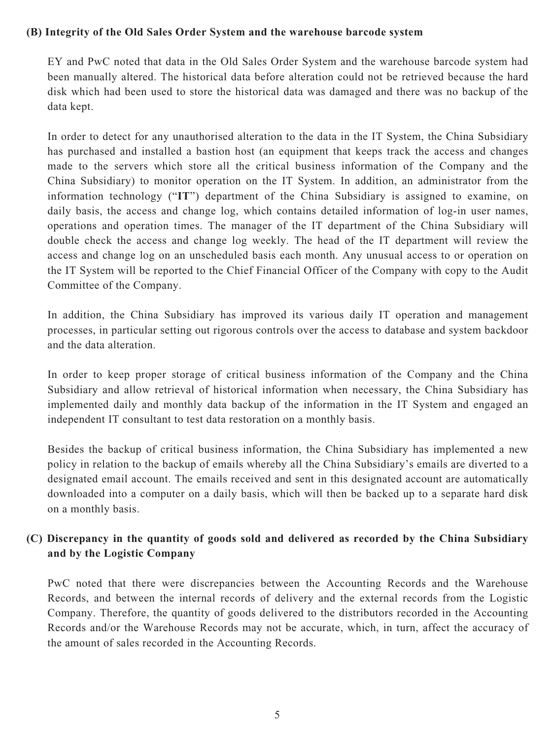#### **(B) Integrity of the Old Sales Order System and the warehouse barcode system**

EY and PwC noted that data in the Old Sales Order System and the warehouse barcode system had been manually altered. The historical data before alteration could not be retrieved because the hard disk which had been used to store the historical data was damaged and there was no backup of the data kept.

In order to detect for any unauthorised alteration to the data in the IT System, the China Subsidiary has purchased and installed a bastion host (an equipment that keeps track the access and changes made to the servers which store all the critical business information of the Company and the China Subsidiary) to monitor operation on the IT System. In addition, an administrator from the information technology ("**IT**") department of the China Subsidiary is assigned to examine, on daily basis, the access and change log, which contains detailed information of log-in user names, operations and operation times. The manager of the IT department of the China Subsidiary will double check the access and change log weekly. The head of the IT department will review the access and change log on an unscheduled basis each month. Any unusual access to or operation on the IT System will be reported to the Chief Financial Officer of the Company with copy to the Audit Committee of the Company.

In addition, the China Subsidiary has improved its various daily IT operation and management processes, in particular setting out rigorous controls over the access to database and system backdoor and the data alteration.

In order to keep proper storage of critical business information of the Company and the China Subsidiary and allow retrieval of historical information when necessary, the China Subsidiary has implemented daily and monthly data backup of the information in the IT System and engaged an independent IT consultant to test data restoration on a monthly basis.

Besides the backup of critical business information, the China Subsidiary has implemented a new policy in relation to the backup of emails whereby all the China Subsidiary's emails are diverted to a designated email account. The emails received and sent in this designated account are automatically downloaded into a computer on a daily basis, which will then be backed up to a separate hard disk on a monthly basis.

## **(C) Discrepancy in the quantity of goods sold and delivered as recorded by the China Subsidiary and by the Logistic Company**

PwC noted that there were discrepancies between the Accounting Records and the Warehouse Records, and between the internal records of delivery and the external records from the Logistic Company. Therefore, the quantity of goods delivered to the distributors recorded in the Accounting Records and/or the Warehouse Records may not be accurate, which, in turn, affect the accuracy of the amount of sales recorded in the Accounting Records.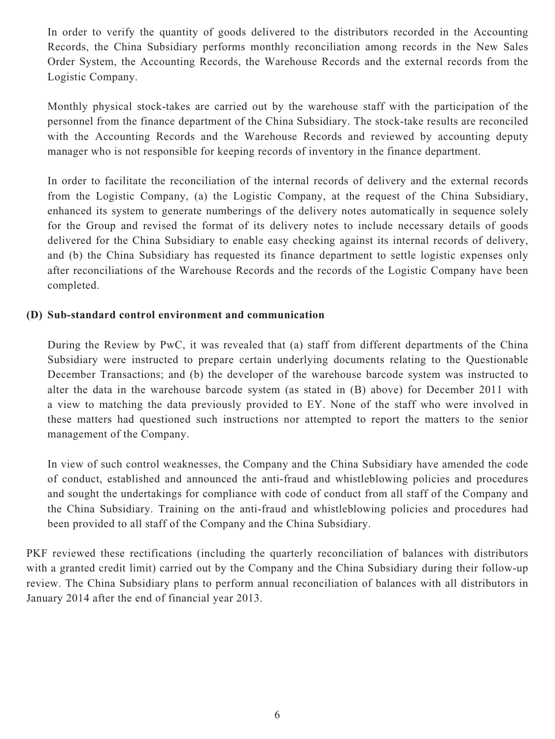In order to verify the quantity of goods delivered to the distributors recorded in the Accounting Records, the China Subsidiary performs monthly reconciliation among records in the New Sales Order System, the Accounting Records, the Warehouse Records and the external records from the Logistic Company.

Monthly physical stock-takes are carried out by the warehouse staff with the participation of the personnel from the finance department of the China Subsidiary. The stock-take results are reconciled with the Accounting Records and the Warehouse Records and reviewed by accounting deputy manager who is not responsible for keeping records of inventory in the finance department.

In order to facilitate the reconciliation of the internal records of delivery and the external records from the Logistic Company, (a) the Logistic Company, at the request of the China Subsidiary, enhanced its system to generate numberings of the delivery notes automatically in sequence solely for the Group and revised the format of its delivery notes to include necessary details of goods delivered for the China Subsidiary to enable easy checking against its internal records of delivery, and (b) the China Subsidiary has requested its finance department to settle logistic expenses only after reconciliations of the Warehouse Records and the records of the Logistic Company have been completed.

#### **(D) Sub-standard control environment and communication**

During the Review by PwC, it was revealed that (a) staff from different departments of the China Subsidiary were instructed to prepare certain underlying documents relating to the Questionable December Transactions; and (b) the developer of the warehouse barcode system was instructed to alter the data in the warehouse barcode system (as stated in (B) above) for December 2011 with a view to matching the data previously provided to EY. None of the staff who were involved in these matters had questioned such instructions nor attempted to report the matters to the senior management of the Company.

In view of such control weaknesses, the Company and the China Subsidiary have amended the code of conduct, established and announced the anti-fraud and whistleblowing policies and procedures and sought the undertakings for compliance with code of conduct from all staff of the Company and the China Subsidiary. Training on the anti-fraud and whistleblowing policies and procedures had been provided to all staff of the Company and the China Subsidiary.

PKF reviewed these rectifications (including the quarterly reconciliation of balances with distributors with a granted credit limit) carried out by the Company and the China Subsidiary during their follow-up review. The China Subsidiary plans to perform annual reconciliation of balances with all distributors in January 2014 after the end of financial year 2013.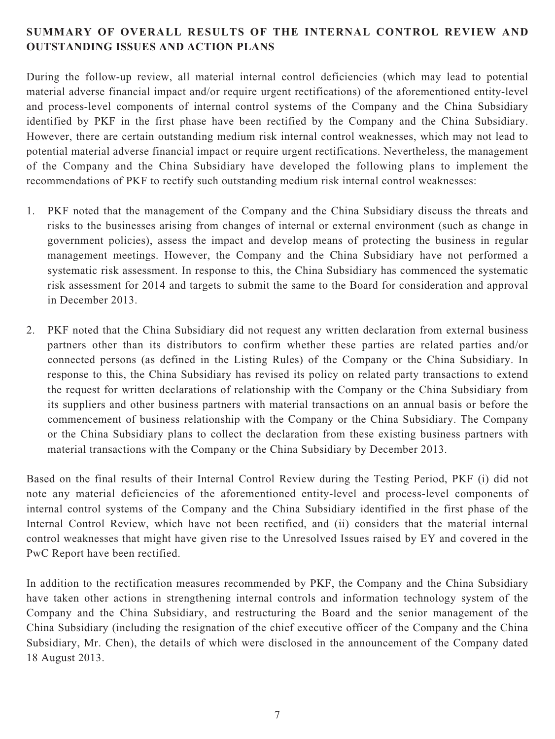## **SUMMARY OF OVERALL RESULTS OF THE INTERNAL CONTROL REVIEW AND OUTSTANDING ISSUES AND ACTION PLANS**

During the follow-up review, all material internal control deficiencies (which may lead to potential material adverse financial impact and/or require urgent rectifications) of the aforementioned entity-level and process-level components of internal control systems of the Company and the China Subsidiary identified by PKF in the first phase have been rectified by the Company and the China Subsidiary. However, there are certain outstanding medium risk internal control weaknesses, which may not lead to potential material adverse financial impact or require urgent rectifications. Nevertheless, the management of the Company and the China Subsidiary have developed the following plans to implement the recommendations of PKF to rectify such outstanding medium risk internal control weaknesses:

- 1. PKF noted that the management of the Company and the China Subsidiary discuss the threats and risks to the businesses arising from changes of internal or external environment (such as change in government policies), assess the impact and develop means of protecting the business in regular management meetings. However, the Company and the China Subsidiary have not performed a systematic risk assessment. In response to this, the China Subsidiary has commenced the systematic risk assessment for 2014 and targets to submit the same to the Board for consideration and approval in December 2013.
- 2. PKF noted that the China Subsidiary did not request any written declaration from external business partners other than its distributors to confirm whether these parties are related parties and/or connected persons (as defined in the Listing Rules) of the Company or the China Subsidiary. In response to this, the China Subsidiary has revised its policy on related party transactions to extend the request for written declarations of relationship with the Company or the China Subsidiary from its suppliers and other business partners with material transactions on an annual basis or before the commencement of business relationship with the Company or the China Subsidiary. The Company or the China Subsidiary plans to collect the declaration from these existing business partners with material transactions with the Company or the China Subsidiary by December 2013.

Based on the final results of their Internal Control Review during the Testing Period, PKF (i) did not note any material deficiencies of the aforementioned entity-level and process-level components of internal control systems of the Company and the China Subsidiary identified in the first phase of the Internal Control Review, which have not been rectified, and (ii) considers that the material internal control weaknesses that might have given rise to the Unresolved Issues raised by EY and covered in the PwC Report have been rectified.

In addition to the rectification measures recommended by PKF, the Company and the China Subsidiary have taken other actions in strengthening internal controls and information technology system of the Company and the China Subsidiary, and restructuring the Board and the senior management of the China Subsidiary (including the resignation of the chief executive officer of the Company and the China Subsidiary, Mr. Chen), the details of which were disclosed in the announcement of the Company dated 18 August 2013.